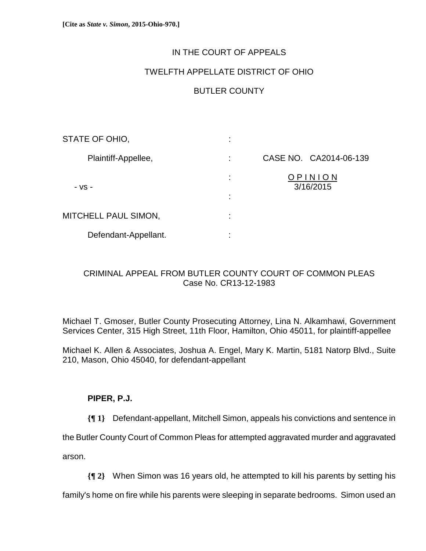# IN THE COURT OF APPEALS

## TWELFTH APPELLATE DISTRICT OF OHIO

# BUTLER COUNTY

| STATE OF OHIO,       | ٠<br>٠.                  |                        |
|----------------------|--------------------------|------------------------|
| Plaintiff-Appellee,  | ÷                        | CASE NO. CA2014-06-139 |
| - VS -               | ÷<br>٠<br>$\blacksquare$ | OPINION<br>3/16/2015   |
| MITCHELL PAUL SIMON, | ٠<br>$\blacksquare$      |                        |
| Defendant-Appellant. | ٠<br>$\blacksquare$      |                        |

# CRIMINAL APPEAL FROM BUTLER COUNTY COURT OF COMMON PLEAS Case No. CR13-12-1983

Michael T. Gmoser, Butler County Prosecuting Attorney, Lina N. Alkamhawi, Government Services Center, 315 High Street, 11th Floor, Hamilton, Ohio 45011, for plaintiff-appellee

Michael K. Allen & Associates, Joshua A. Engel, Mary K. Martin, 5181 Natorp Blvd., Suite 210, Mason, Ohio 45040, for defendant-appellant

## **PIPER, P.J.**

**{¶ 1}** Defendant-appellant, Mitchell Simon, appeals his convictions and sentence in

the Butler County Court of Common Pleas for attempted aggravated murder and aggravated

arson.

**{¶ 2}** When Simon was 16 years old, he attempted to kill his parents by setting his

family's home on fire while his parents were sleeping in separate bedrooms. Simon used an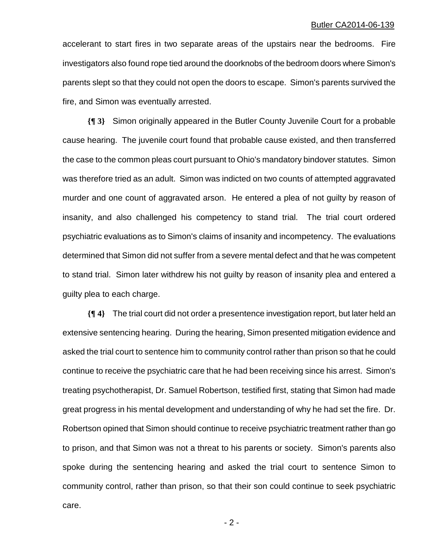accelerant to start fires in two separate areas of the upstairs near the bedrooms. Fire investigators also found rope tied around the doorknobs of the bedroom doors where Simon's parents slept so that they could not open the doors to escape. Simon's parents survived the fire, and Simon was eventually arrested.

**{¶ 3}** Simon originally appeared in the Butler County Juvenile Court for a probable cause hearing. The juvenile court found that probable cause existed, and then transferred the case to the common pleas court pursuant to Ohio's mandatory bindover statutes. Simon was therefore tried as an adult. Simon was indicted on two counts of attempted aggravated murder and one count of aggravated arson. He entered a plea of not guilty by reason of insanity, and also challenged his competency to stand trial. The trial court ordered psychiatric evaluations as to Simon's claims of insanity and incompetency. The evaluations determined that Simon did not suffer from a severe mental defect and that he was competent to stand trial. Simon later withdrew his not guilty by reason of insanity plea and entered a guilty plea to each charge.

**{¶ 4}** The trial court did not order a presentence investigation report, but later held an extensive sentencing hearing. During the hearing, Simon presented mitigation evidence and asked the trial court to sentence him to community control rather than prison so that he could continue to receive the psychiatric care that he had been receiving since his arrest. Simon's treating psychotherapist, Dr. Samuel Robertson, testified first, stating that Simon had made great progress in his mental development and understanding of why he had set the fire. Dr. Robertson opined that Simon should continue to receive psychiatric treatment rather than go to prison, and that Simon was not a threat to his parents or society. Simon's parents also spoke during the sentencing hearing and asked the trial court to sentence Simon to community control, rather than prison, so that their son could continue to seek psychiatric care.

 $-2$  -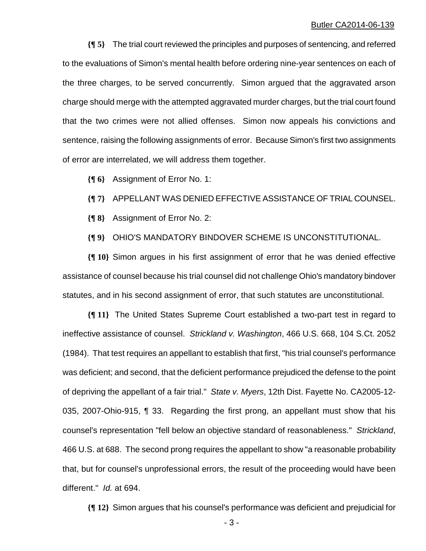**{¶ 5}** The trial court reviewed the principles and purposes of sentencing, and referred to the evaluations of Simon's mental health before ordering nine-year sentences on each of the three charges, to be served concurrently. Simon argued that the aggravated arson charge should merge with the attempted aggravated murder charges, but the trial court found that the two crimes were not allied offenses. Simon now appeals his convictions and sentence, raising the following assignments of error. Because Simon's first two assignments of error are interrelated, we will address them together.

**{¶ 6}** Assignment of Error No. 1:

**{¶ 7}** APPELLANT WAS DENIED EFFECTIVE ASSISTANCE OF TRIAL COUNSEL.

**{¶ 8}** Assignment of Error No. 2:

**{¶ 9}** OHIO'S MANDATORY BINDOVER SCHEME IS UNCONSTITUTIONAL.

**{¶ 10}** Simon argues in his first assignment of error that he was denied effective assistance of counsel because his trial counsel did not challenge Ohio's mandatory bindover statutes, and in his second assignment of error, that such statutes are unconstitutional.

**{¶ 11}** The United States Supreme Court established a two-part test in regard to ineffective assistance of counsel. *Strickland v. Washington*, 466 U.S. 668, 104 S.Ct. 2052 (1984). That test requires an appellant to establish that first, "his trial counsel's performance was deficient; and second, that the deficient performance prejudiced the defense to the point of depriving the appellant of a fair trial." *State v. Myers*, 12th Dist. Fayette No. CA2005-12- 035, 2007-Ohio-915, ¶ 33. Regarding the first prong, an appellant must show that his counsel's representation "fell below an objective standard of reasonableness." *Strickland*, 466 U.S. at 688. The second prong requires the appellant to show "a reasonable probability that, but for counsel's unprofessional errors, the result of the proceeding would have been different." *Id.* at 694.

**{¶ 12}** Simon argues that his counsel's performance was deficient and prejudicial for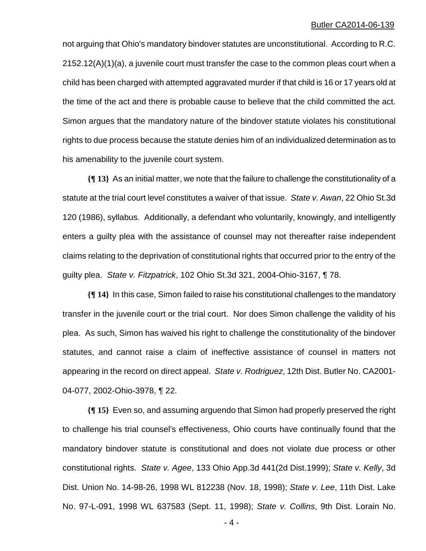not arguing that Ohio's mandatory bindover statutes are unconstitutional. According to R.C. 2152.12(A)(1)(a), a juvenile court must transfer the case to the common pleas court when a child has been charged with attempted aggravated murder if that child is 16 or 17 years old at the time of the act and there is probable cause to believe that the child committed the act. Simon argues that the mandatory nature of the bindover statute violates his constitutional rights to due process because the statute denies him of an individualized determination as to his amenability to the juvenile court system.

**{¶ 13}** As an initial matter, we note that the failure to challenge the constitutionality of a statute at the trial court level constitutes a waiver of that issue. *State v. Awan*, 22 Ohio St.3d 120 (1986), syllabus. Additionally, a defendant who voluntarily, knowingly, and intelligently enters a guilty plea with the assistance of counsel may not thereafter raise independent claims relating to the deprivation of constitutional rights that occurred prior to the entry of the guilty plea. *State v. Fitzpatrick*, 102 Ohio St.3d 321, 2004-Ohio-3167, ¶ 78.

**{¶ 14}** In this case, Simon failed to raise his constitutional challenges to the mandatory transfer in the juvenile court or the trial court. Nor does Simon challenge the validity of his plea. As such, Simon has waived his right to challenge the constitutionality of the bindover statutes, and cannot raise a claim of ineffective assistance of counsel in matters not appearing in the record on direct appeal. *State v. Rodriguez*, 12th Dist. Butler No. CA2001- 04-077, 2002-Ohio-3978, ¶ 22.

**{¶ 15}** Even so, and assuming arguendo that Simon had properly preserved the right to challenge his trial counsel's effectiveness, Ohio courts have continually found that the mandatory bindover statute is constitutional and does not violate due process or other constitutional rights. *State v. Agee*, 133 Ohio App.3d 441(2d Dist.1999); *State v. Kelly*, 3d Dist. Union No. 14-98-26, 1998 WL 812238 (Nov. 18, 1998); *State v. Lee*, 11th Dist. Lake No. 97-L-091, 1998 WL 637583 (Sept. 11, 1998); *State v. Collins*, 9th Dist. Lorain No.

 $-4-$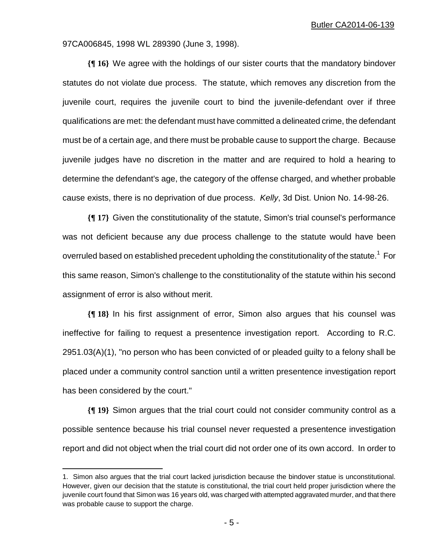97CA006845, 1998 WL 289390 (June 3, 1998).

**{¶ 16}** We agree with the holdings of our sister courts that the mandatory bindover statutes do not violate due process. The statute, which removes any discretion from the juvenile court, requires the juvenile court to bind the juvenile-defendant over if three qualifications are met: the defendant must have committed a delineated crime, the defendant must be of a certain age, and there must be probable cause to support the charge. Because juvenile judges have no discretion in the matter and are required to hold a hearing to determine the defendant's age, the category of the offense charged, and whether probable cause exists, there is no deprivation of due process. *Kelly*, 3d Dist. Union No. 14-98-26.

**{¶ 17}** Given the constitutionality of the statute, Simon's trial counsel's performance was not deficient because any due process challenge to the statute would have been overruled based on established precedent upholding the constitutionality of the statute.<sup>1</sup> For this same reason, Simon's challenge to the constitutionality of the statute within his second assignment of error is also without merit.

**{¶ 18}** In his first assignment of error, Simon also argues that his counsel was ineffective for failing to request a presentence investigation report. According to R.C. 2951.03(A)(1), "no person who has been convicted of or pleaded guilty to a felony shall be placed under a community control sanction until a written presentence investigation report has been considered by the court."

**{¶ 19}** Simon argues that the trial court could not consider community control as a possible sentence because his trial counsel never requested a presentence investigation report and did not object when the trial court did not order one of its own accord. In order to

1

<sup>1.</sup> Simon also argues that the trial court lacked jurisdiction because the bindover statue is unconstitutional. However, given our decision that the statute is constitutional, the trial court held proper jurisdiction where the juvenile court found that Simon was 16 years old, was charged with attempted aggravated murder, and that there was probable cause to support the charge.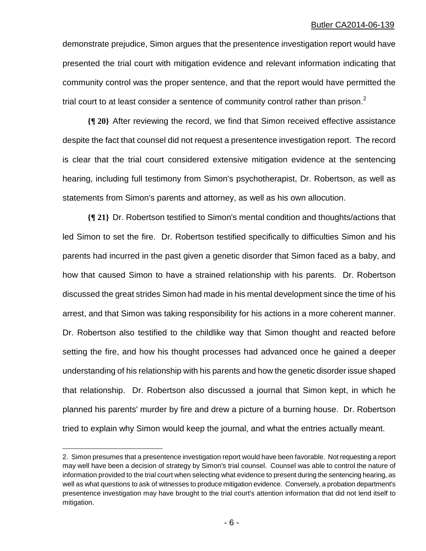demonstrate prejudice, Simon argues that the presentence investigation report would have presented the trial court with mitigation evidence and relevant information indicating that community control was the proper sentence, and that the report would have permitted the trial court to at least consider a sentence of community control rather than prison. $2$ 

**{¶ 20}** After reviewing the record, we find that Simon received effective assistance despite the fact that counsel did not request a presentence investigation report. The record is clear that the trial court considered extensive mitigation evidence at the sentencing hearing, including full testimony from Simon's psychotherapist, Dr. Robertson, as well as statements from Simon's parents and attorney, as well as his own allocution.

**{¶ 21}** Dr. Robertson testified to Simon's mental condition and thoughts/actions that led Simon to set the fire. Dr. Robertson testified specifically to difficulties Simon and his parents had incurred in the past given a genetic disorder that Simon faced as a baby, and how that caused Simon to have a strained relationship with his parents. Dr. Robertson discussed the great strides Simon had made in his mental development since the time of his arrest, and that Simon was taking responsibility for his actions in a more coherent manner. Dr. Robertson also testified to the childlike way that Simon thought and reacted before setting the fire, and how his thought processes had advanced once he gained a deeper understanding of his relationship with his parents and how the genetic disorder issue shaped that relationship. Dr. Robertson also discussed a journal that Simon kept, in which he planned his parents' murder by fire and drew a picture of a burning house. Dr. Robertson tried to explain why Simon would keep the journal, and what the entries actually meant.

<u>.</u>

<sup>2.</sup> Simon presumes that a presentence investigation report would have been favorable. Not requesting a report may well have been a decision of strategy by Simon's trial counsel. Counsel was able to control the nature of information provided to the trial court when selecting what evidence to present during the sentencing hearing, as well as what questions to ask of witnesses to produce mitigation evidence. Conversely, a probation department's presentence investigation may have brought to the trial court's attention information that did not lend itself to mitigation.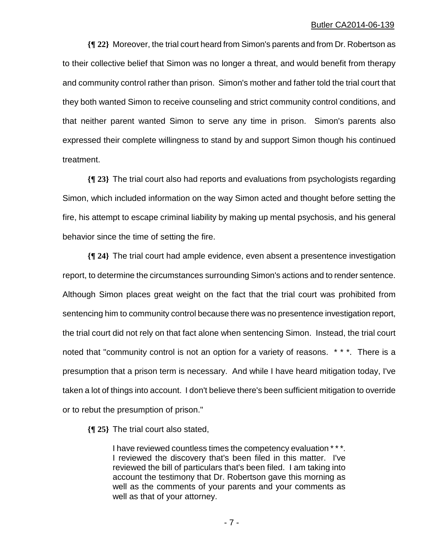**{¶ 22}** Moreover, the trial court heard from Simon's parents and from Dr. Robertson as to their collective belief that Simon was no longer a threat, and would benefit from therapy and community control rather than prison. Simon's mother and father told the trial court that they both wanted Simon to receive counseling and strict community control conditions, and that neither parent wanted Simon to serve any time in prison. Simon's parents also expressed their complete willingness to stand by and support Simon though his continued treatment.

**{¶ 23}** The trial court also had reports and evaluations from psychologists regarding Simon, which included information on the way Simon acted and thought before setting the fire, his attempt to escape criminal liability by making up mental psychosis, and his general behavior since the time of setting the fire.

**{¶ 24}** The trial court had ample evidence, even absent a presentence investigation report, to determine the circumstances surrounding Simon's actions and to render sentence. Although Simon places great weight on the fact that the trial court was prohibited from sentencing him to community control because there was no presentence investigation report, the trial court did not rely on that fact alone when sentencing Simon. Instead, the trial court noted that "community control is not an option for a variety of reasons. \* \* \*. There is a presumption that a prison term is necessary. And while I have heard mitigation today, I've taken a lot of things into account. I don't believe there's been sufficient mitigation to override or to rebut the presumption of prison."

**{¶ 25}** The trial court also stated,

I have reviewed countless times the competency evaluation \* \* \*. I reviewed the discovery that's been filed in this matter. I've reviewed the bill of particulars that's been filed. I am taking into account the testimony that Dr. Robertson gave this morning as well as the comments of your parents and your comments as well as that of your attorney.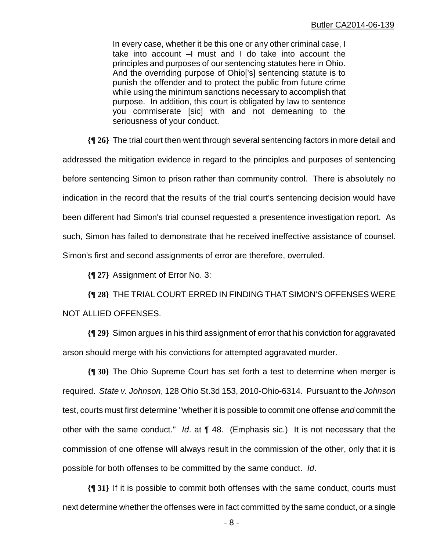In every case, whether it be this one or any other criminal case, I take into account –I must and I do take into account the principles and purposes of our sentencing statutes here in Ohio. And the overriding purpose of Ohio['s] sentencing statute is to punish the offender and to protect the public from future crime while using the minimum sanctions necessary to accomplish that purpose. In addition, this court is obligated by law to sentence you commiserate [sic] with and not demeaning to the seriousness of your conduct.

**{¶ 26}** The trial court then went through several sentencing factors in more detail and addressed the mitigation evidence in regard to the principles and purposes of sentencing before sentencing Simon to prison rather than community control. There is absolutely no indication in the record that the results of the trial court's sentencing decision would have been different had Simon's trial counsel requested a presentence investigation report. As such, Simon has failed to demonstrate that he received ineffective assistance of counsel. Simon's first and second assignments of error are therefore, overruled.

**{¶ 27}** Assignment of Error No. 3:

**{¶ 28}** THE TRIAL COURT ERRED IN FINDING THAT SIMON'S OFFENSES WERE NOT ALLIED OFFENSES.

**{¶ 29}** Simon argues in his third assignment of error that his conviction for aggravated arson should merge with his convictions for attempted aggravated murder.

**{¶ 30}** The Ohio Supreme Court has set forth a test to determine when merger is required. *State v. Johnson*, 128 Ohio St.3d 153, 2010-Ohio-6314. Pursuant to the *Johnson* test, courts must first determine "whether it is possible to commit one offense *and* commit the other with the same conduct." *Id*. at ¶ 48. (Emphasis sic.) It is not necessary that the commission of one offense will always result in the commission of the other, only that it is possible for both offenses to be committed by the same conduct. *Id*.

**{¶ 31}** If it is possible to commit both offenses with the same conduct, courts must next determine whether the offenses were in fact committed by the same conduct, or a single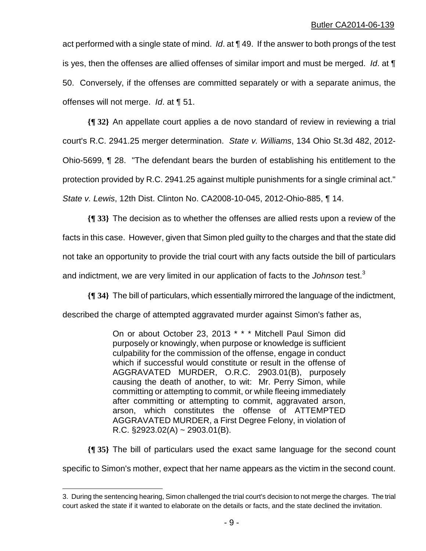act performed with a single state of mind. *Id*. at ¶ 49. If the answer to both prongs of the test is yes, then the offenses are allied offenses of similar import and must be merged. *Id*. at ¶ 50. Conversely, if the offenses are committed separately or with a separate animus, the offenses will not merge. *Id*. at ¶ 51.

**{¶ 32}** An appellate court applies a de novo standard of review in reviewing a trial court's R.C. 2941.25 merger determination. *State v. Williams*, 134 Ohio St.3d 482, 2012- Ohio-5699, ¶ 28. "The defendant bears the burden of establishing his entitlement to the protection provided by R.C. 2941.25 against multiple punishments for a single criminal act." *State v. Lewis*, 12th Dist. Clinton No. CA2008-10-045, 2012-Ohio-885, ¶ 14.

**{¶ 33}** The decision as to whether the offenses are allied rests upon a review of the facts in this case. However, given that Simon pled guilty to the charges and that the state did not take an opportunity to provide the trial court with any facts outside the bill of particulars and indictment, we are very limited in our application of facts to the *Johnson* test.<sup>3</sup>

**{¶ 34}** The bill of particulars, which essentially mirrored the language of the indictment,

described the charge of attempted aggravated murder against Simon's father as,

On or about October 23, 2013 \* \* \* Mitchell Paul Simon did purposely or knowingly, when purpose or knowledge is sufficient culpability for the commission of the offense, engage in conduct which if successful would constitute or result in the offense of AGGRAVATED MURDER, O.R.C. 2903.01(B), purposely causing the death of another, to wit: Mr. Perry Simon, while committing or attempting to commit, or while fleeing immediately after committing or attempting to commit, aggravated arson, arson, which constitutes the offense of ATTEMPTED AGGRAVATED MURDER, a First Degree Felony, in violation of R.C.  $$2923.02(A) \sim 2903.01(B)$ .

**{¶ 35}** The bill of particulars used the exact same language for the second count

specific to Simon's mother, expect that her name appears as the victim in the second count.

<u>.</u>

<sup>3.</sup> During the sentencing hearing, Simon challenged the trial court's decision to not merge the charges. The trial court asked the state if it wanted to elaborate on the details or facts, and the state declined the invitation.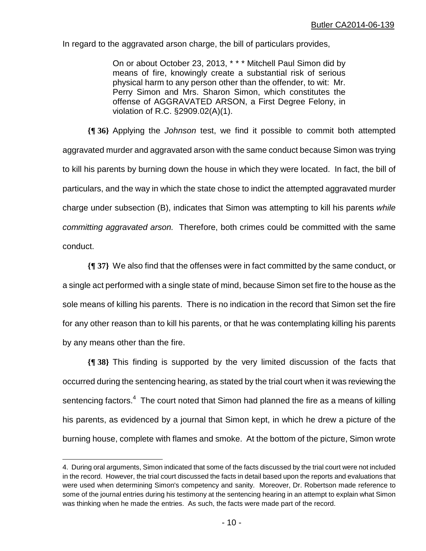In regard to the aggravated arson charge, the bill of particulars provides,

On or about October 23, 2013, \* \* \* Mitchell Paul Simon did by means of fire, knowingly create a substantial risk of serious physical harm to any person other than the offender, to wit: Mr. Perry Simon and Mrs. Sharon Simon, which constitutes the offense of AGGRAVATED ARSON, a First Degree Felony, in violation of R.C. §2909.02(A)(1).

**{¶ 36}** Applying the *Johnson* test, we find it possible to commit both attempted aggravated murder and aggravated arson with the same conduct because Simon was trying to kill his parents by burning down the house in which they were located. In fact, the bill of particulars, and the way in which the state chose to indict the attempted aggravated murder charge under subsection (B), indicates that Simon was attempting to kill his parents *while committing aggravated arson.* Therefore, both crimes could be committed with the same conduct.

**{¶ 37}** We also find that the offenses were in fact committed by the same conduct, or a single act performed with a single state of mind, because Simon set fire to the house as the sole means of killing his parents. There is no indication in the record that Simon set the fire for any other reason than to kill his parents, or that he was contemplating killing his parents by any means other than the fire.

**{¶ 38}** This finding is supported by the very limited discussion of the facts that occurred during the sentencing hearing, as stated by the trial court when it was reviewing the sentencing factors. $^{4}$  The court noted that Simon had planned the fire as a means of killing his parents, as evidenced by a journal that Simon kept, in which he drew a picture of the burning house, complete with flames and smoke. At the bottom of the picture, Simon wrote

1

<sup>4.</sup> During oral arguments, Simon indicated that some of the facts discussed by the trial court were not included in the record. However, the trial court discussed the facts in detail based upon the reports and evaluations that were used when determining Simon's competency and sanity. Moreover, Dr. Robertson made reference to some of the journal entries during his testimony at the sentencing hearing in an attempt to explain what Simon was thinking when he made the entries. As such, the facts were made part of the record.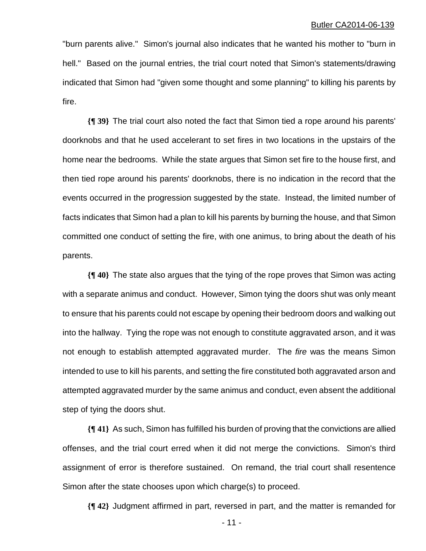"burn parents alive." Simon's journal also indicates that he wanted his mother to "burn in hell." Based on the journal entries, the trial court noted that Simon's statements/drawing indicated that Simon had "given some thought and some planning" to killing his parents by fire.

**{¶ 39}** The trial court also noted the fact that Simon tied a rope around his parents' doorknobs and that he used accelerant to set fires in two locations in the upstairs of the home near the bedrooms. While the state argues that Simon set fire to the house first, and then tied rope around his parents' doorknobs, there is no indication in the record that the events occurred in the progression suggested by the state. Instead, the limited number of facts indicates that Simon had a plan to kill his parents by burning the house, and that Simon committed one conduct of setting the fire, with one animus, to bring about the death of his parents.

**{¶ 40}** The state also argues that the tying of the rope proves that Simon was acting with a separate animus and conduct. However, Simon tying the doors shut was only meant to ensure that his parents could not escape by opening their bedroom doors and walking out into the hallway. Tying the rope was not enough to constitute aggravated arson, and it was not enough to establish attempted aggravated murder. The *fire* was the means Simon intended to use to kill his parents, and setting the fire constituted both aggravated arson and attempted aggravated murder by the same animus and conduct, even absent the additional step of tying the doors shut.

**{¶ 41}** As such, Simon has fulfilled his burden of proving that the convictions are allied offenses, and the trial court erred when it did not merge the convictions. Simon's third assignment of error is therefore sustained. On remand, the trial court shall resentence Simon after the state chooses upon which charge(s) to proceed.

**{¶ 42}** Judgment affirmed in part, reversed in part, and the matter is remanded for